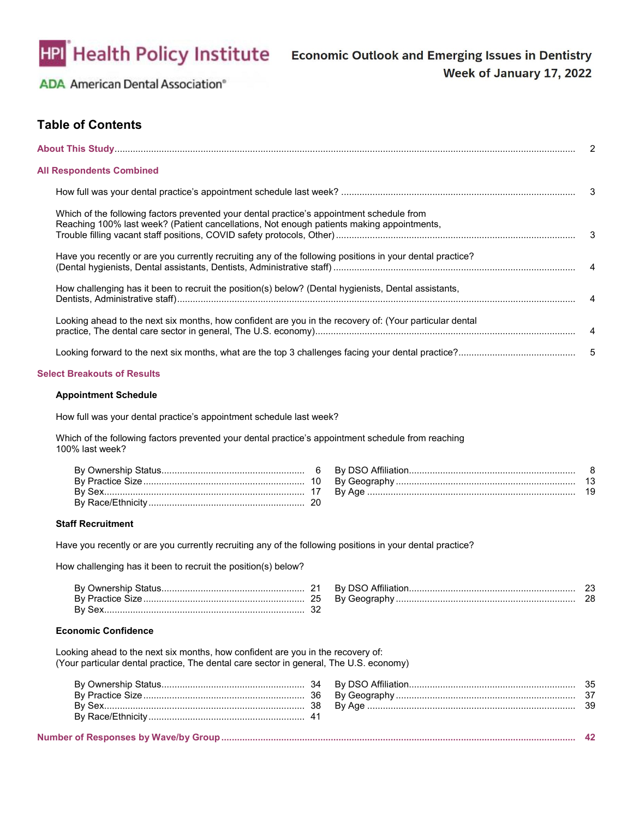

# **Table of Contents**

|                                                                                                                                                                                        |  | 2   |
|----------------------------------------------------------------------------------------------------------------------------------------------------------------------------------------|--|-----|
| <b>All Respondents Combined</b>                                                                                                                                                        |  |     |
|                                                                                                                                                                                        |  | - 3 |
| Which of the following factors prevented your dental practice's appointment schedule from<br>Reaching 100% last week? (Patient cancellations, Not enough patients making appointments, |  | 3   |
| Have you recently or are you currently recruiting any of the following positions in your dental practice?                                                                              |  |     |
| How challenging has it been to recruit the position(s) below? (Dental hygienists, Dental assistants,                                                                                   |  | 4   |
| Looking ahead to the next six months, how confident are you in the recovery of: (Your particular dental                                                                                |  |     |
|                                                                                                                                                                                        |  | 5   |
| <b>Select Breakouts of Results</b>                                                                                                                                                     |  |     |
| <b>Appointment Schedule</b>                                                                                                                                                            |  |     |
| How full was your dental practice's appointment schedule last week?                                                                                                                    |  |     |
| Which of the following factors prevented your dental practice's appointment schedule from reaching<br>100% last week?                                                                  |  |     |
|                                                                                                                                                                                        |  |     |
| <b>Staff Recruitment</b>                                                                                                                                                               |  |     |
| Have you recently or are you currently recruiting any of the following positions in your dental practice?                                                                              |  |     |
| How challenging has it been to recruit the position(s) below?                                                                                                                          |  |     |
|                                                                                                                                                                                        |  |     |

#### **Economic Confidence**

Looking ahead to the next six months, how confident are you in the recovery of: (Your particular dental practice, The dental care sector in general, The U.S. economy)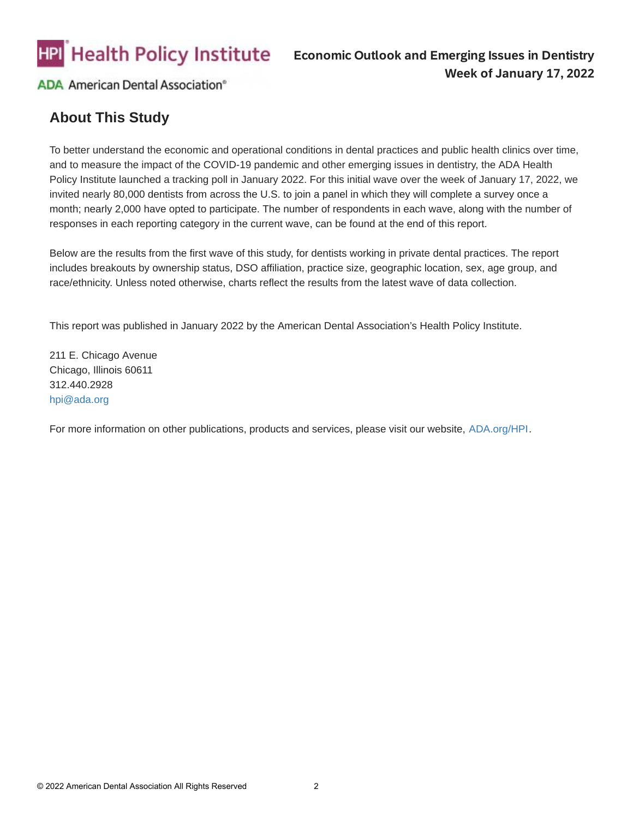

# **About This Study**

To better understand the economic and operational conditions in dental practices and public health clinics over time, and to measure the impact of the COVID-19 pandemic and other emerging issues in dentistry, the ADA Health Policy Institute launched a tracking poll in January 2022. For this initial wave over the week of January 17, 2022, we invited nearly 80,000 dentists from across the U.S. to join a panel in which they will complete a survey once a month; nearly 2,000 have opted to participate. The number of respondents in each wave, along with the number of responses in each reporting category in the current wave, can be found at the end of this report.

Below are the results from the first wave of this study, for dentists working in private dental practices. The report includes breakouts by ownership status, DSO affiliation, practice size, geographic location, sex, age group, and race/ethnicity. Unless noted otherwise, charts reflect the results from the latest wave of data collection.

This report was published in January 2022 by the American Dental Association's Health Policy Institute.

211 E. Chicago Avenue Chicago, Illinois 60611 312.440.2928 [hpi@ada.org](mailto:hpi@ada.org?subject=Question%20about%20the%20Economic%20Impact%20and%20Emerging%20Issues%20in%20Dentistry%20report) 

For more information on other publications, products and services, please visit our website, [ADA.org/HPI](https://www.ada.org/resources/research/health-policy-institute).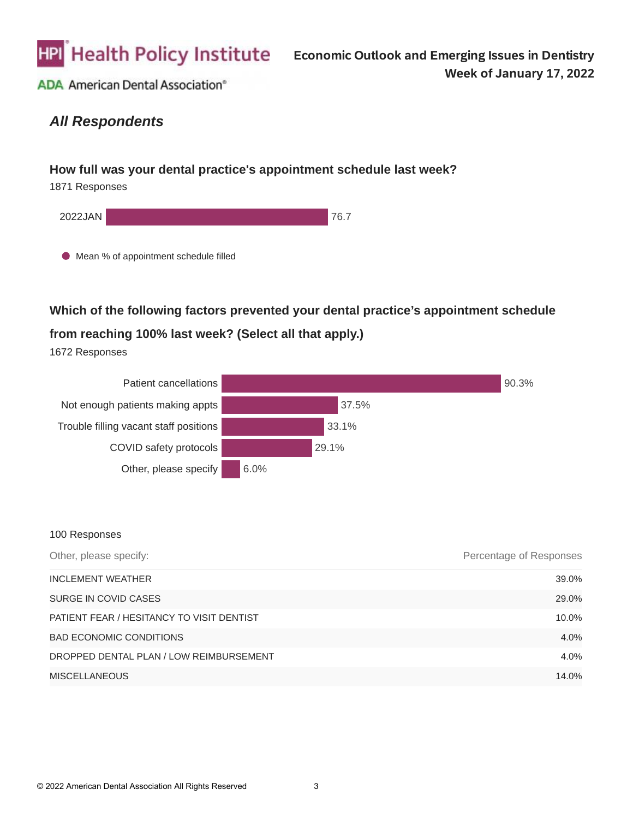

# *All Respondents*

### **How full was your dental practice's appointment schedule last week?**

1871 Responses



## **Which of the following factors prevented your dental practice's appointment schedule**

### **from reaching 100% last week? (Select all that apply.)**

1672 Responses



| Other, please specify:                    | Percentage of Responses |
|-------------------------------------------|-------------------------|
| <b>INCLEMENT WEATHER</b>                  | 39.0%                   |
| SURGE IN COVID CASES                      | 29.0%                   |
| PATIENT FEAR / HESITANCY TO VISIT DENTIST | 10.0%                   |
| <b>BAD ECONOMIC CONDITIONS</b>            | 4.0%                    |
| DROPPED DENTAL PLAN / LOW REIMBURSEMENT   | 4.0%                    |
| <b>MISCELLANEOUS</b>                      | 14.0%                   |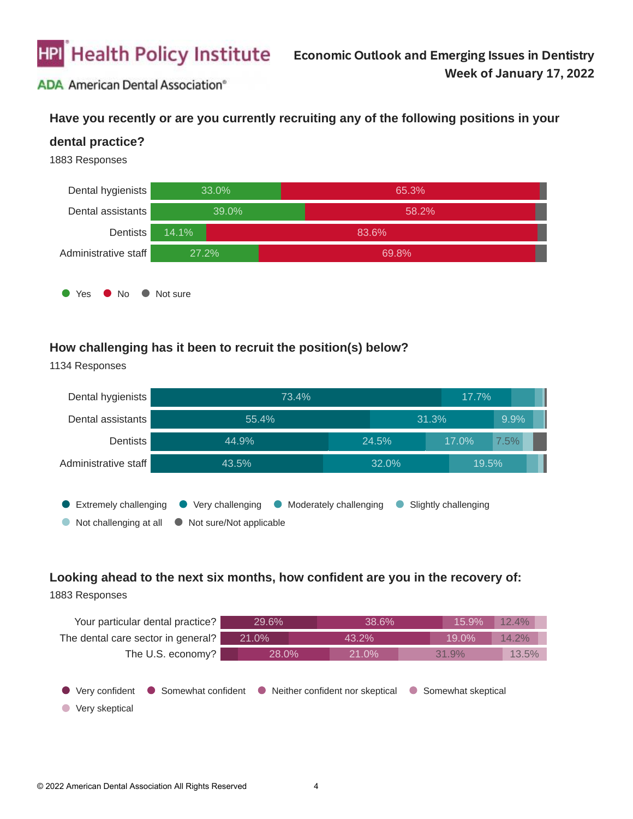

### **Have you recently or are you currently recruiting any of the following positions in your**

#### **dental practice?**

1883 Responses

1134 Responses



#### **How challenging has it been to recruit the position(s) below?**



# **Looking ahead to the next six months, how confident are you in the recovery of:**

| Your particular dental practice?   | 29.6% | 38.6%                                                  | 15.9%                           | 12.4% |
|------------------------------------|-------|--------------------------------------------------------|---------------------------------|-------|
| The dental care sector in general? | 21.0% | 43.2%                                                  | 19.0%                           | 14.2% |
| The U.S. economy?                  | 28.0% | 21.0%                                                  | 31.9%                           | 13.5% |
| Very confident<br>Very skeptical   |       | • Somewhat confident • Neither confident nor skeptical | Somewhat skeptical<br>$\bullet$ |       |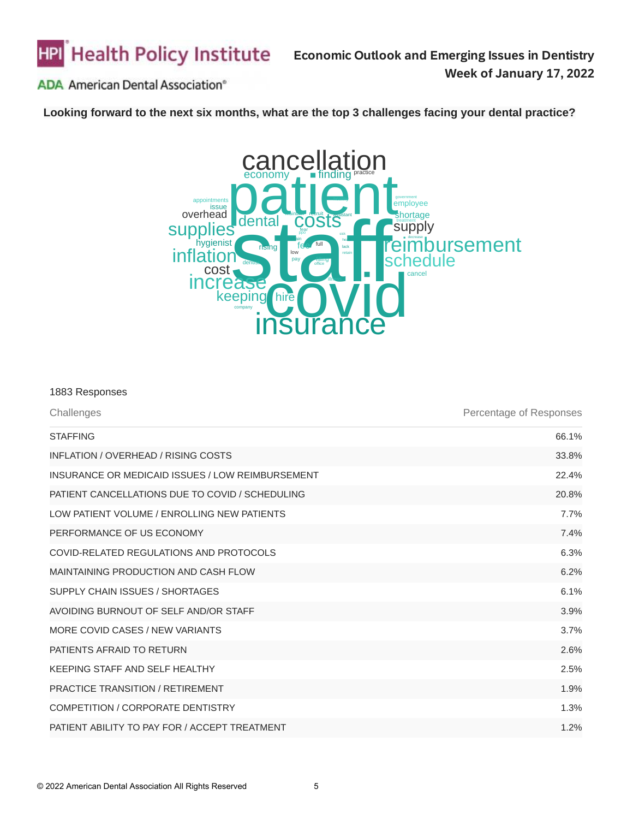

**Looking forward to the next six months, what are the top 3 challenges facing your dental practice?**



| 1883 Responses                                   |                         |
|--------------------------------------------------|-------------------------|
| Challenges                                       | Percentage of Responses |
| <b>STAFFING</b>                                  | 66.1%                   |
| INFLATION / OVERHEAD / RISING COSTS              | 33.8%                   |
| INSURANCE OR MEDICAID ISSUES / LOW REIMBURSEMENT | 22.4%                   |
| PATIENT CANCELLATIONS DUE TO COVID / SCHEDULING  | 20.8%                   |
| LOW PATIENT VOLUME / ENROLLING NEW PATIENTS      | 7.7%                    |
| PERFORMANCE OF US ECONOMY                        | 7.4%                    |
| COVID-RELATED REGULATIONS AND PROTOCOLS          | 6.3%                    |
| MAINTAINING PRODUCTION AND CASH FLOW             | 6.2%                    |
| SUPPLY CHAIN ISSUES / SHORTAGES                  | 6.1%                    |
| AVOIDING BURNOUT OF SELF AND/OR STAFF            | 3.9%                    |
| MORE COVID CASES / NEW VARIANTS                  | 3.7%                    |
| PATIENTS AFRAID TO RETURN                        | 2.6%                    |
| KEEPING STAFF AND SELF HEALTHY                   | 2.5%                    |
| <b>PRACTICE TRANSITION / RETIREMENT</b>          | 1.9%                    |
| <b>COMPETITION / CORPORATE DENTISTRY</b>         | 1.3%                    |
| PATIENT ABILITY TO PAY FOR / ACCEPT TREATMENT    | 1.2%                    |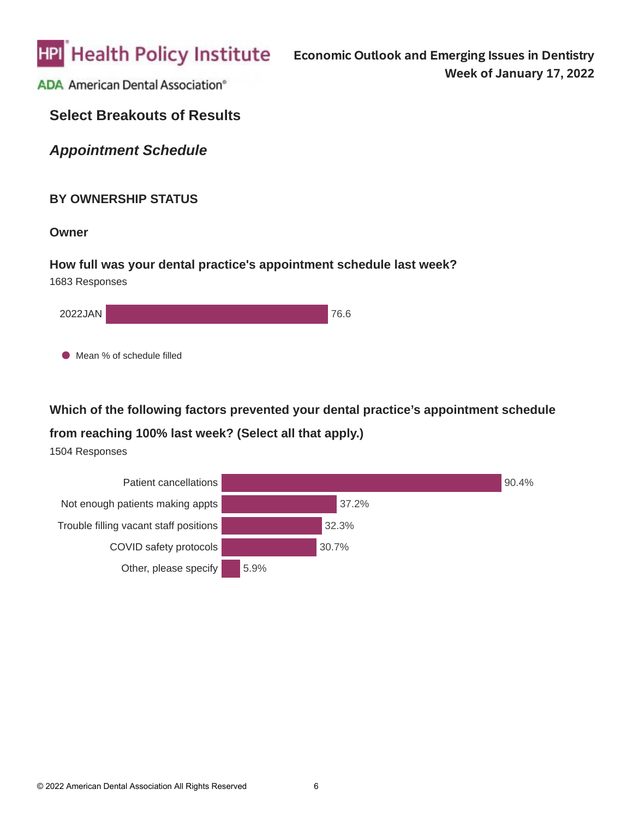

# **Select Breakouts of Results**

*Appointment Schedule*

### **BY OWNERSHIP STATUS**

**Owner**

### **How full was your dental practice's appointment schedule last week?** 1683 Responses

| 2022JAN | 76.6 |
|---------|------|
|         |      |

**Mean % of schedule filled** 

# **Which of the following factors prevented your dental practice's appointment schedule**

## **from reaching 100% last week? (Select all that apply.)**

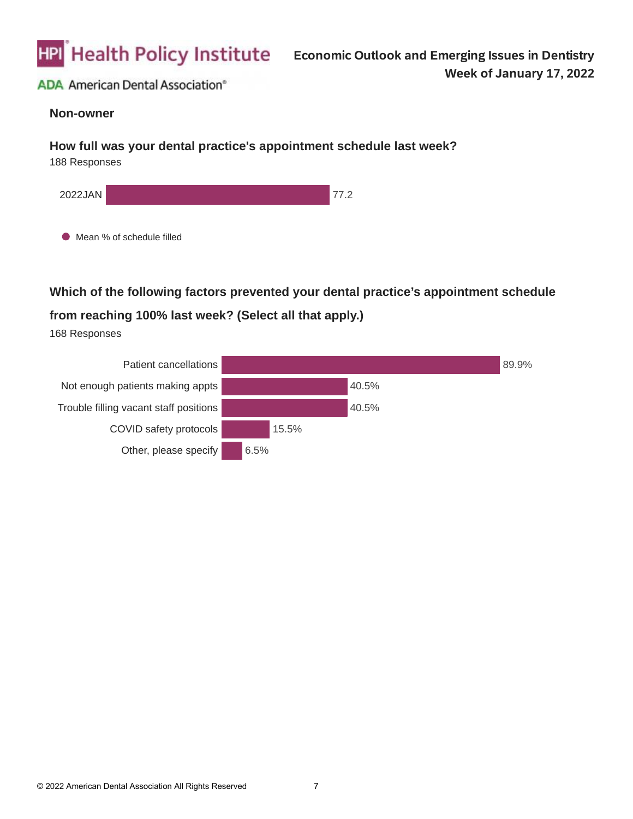

#### **Non-owner**

#### **How full was your dental practice's appointment schedule last week?**

188 Responses



**Which of the following factors prevented your dental practice's appointment schedule** 

## **from reaching 100% last week? (Select all that apply.)**

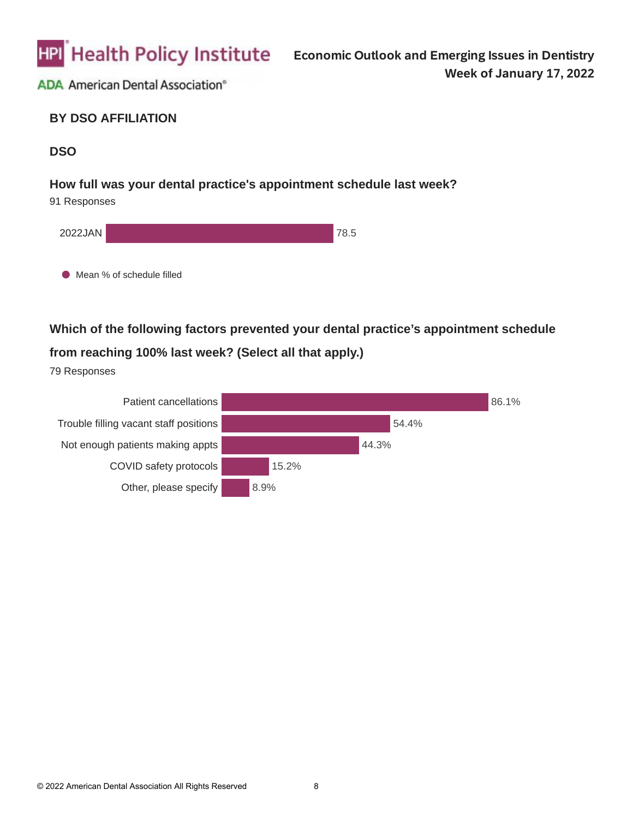

### **BY DSO AFFILIATION**

## **DSO**

#### **How full was your dental practice's appointment schedule last week?**

91 Responses



**Which of the following factors prevented your dental practice's appointment schedule from reaching 100% last week? (Select all that apply.)**

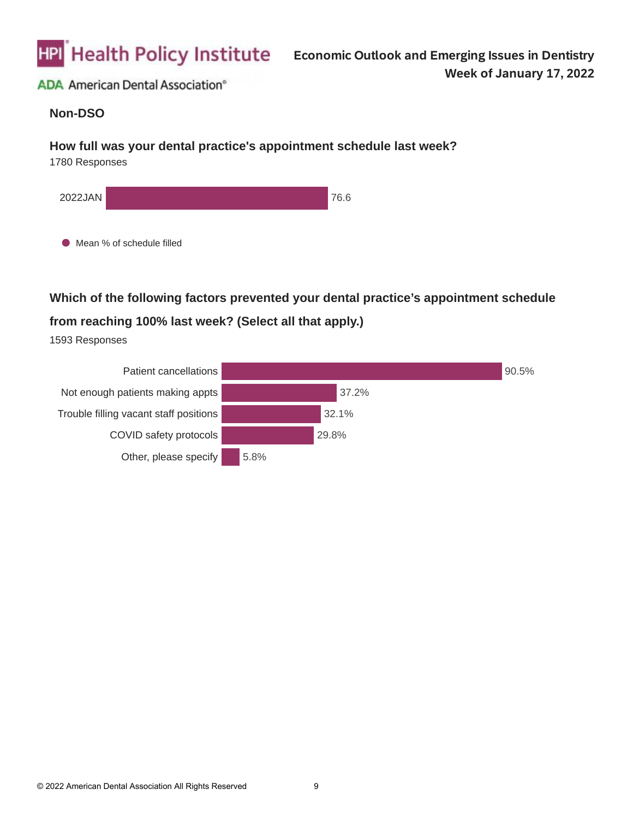

#### **Non-DSO**

#### **How full was your dental practice's appointment schedule last week?**

1780 Responses



● Mean % of schedule filled

**Which of the following factors prevented your dental practice's appointment schedule** 

# **from reaching 100% last week? (Select all that apply.)**

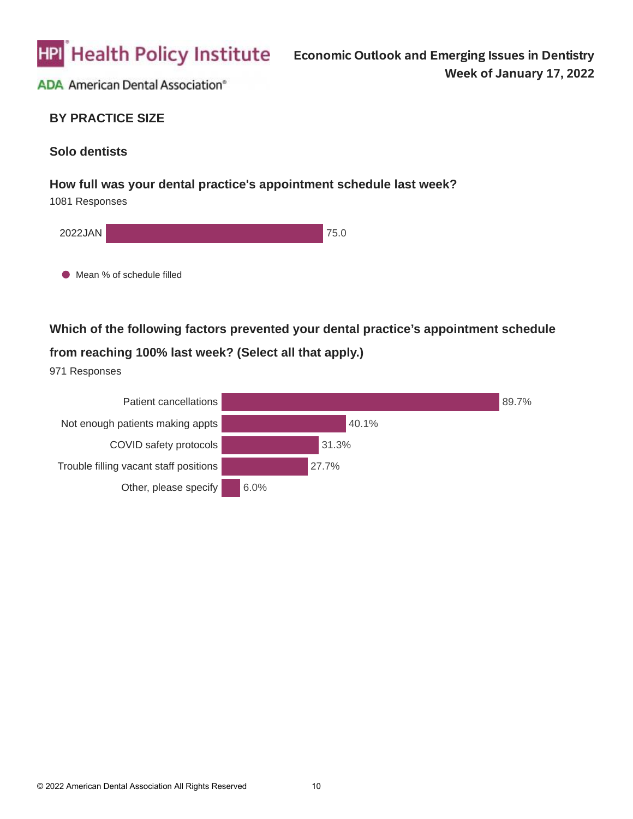

### **BY PRACTICE SIZE**

### **Solo dentists**

#### **How full was your dental practice's appointment schedule last week?**

1081 Responses



**Which of the following factors prevented your dental practice's appointment schedule from reaching 100% last week? (Select all that apply.)**

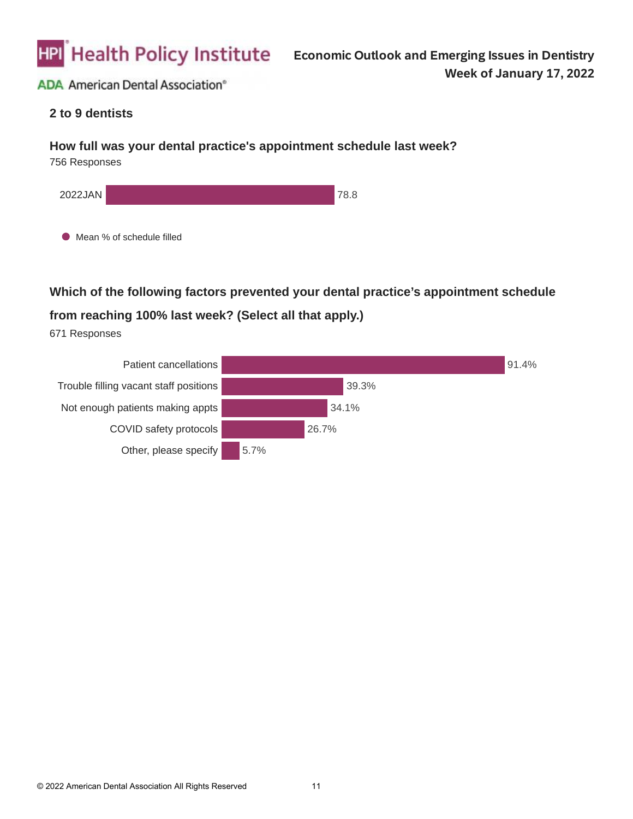

### **2 to 9 dentists**

#### **How full was your dental practice's appointment schedule last week?**

756 Responses



**Which of the following factors prevented your dental practice's appointment schedule** 

# **from reaching 100% last week? (Select all that apply.)**

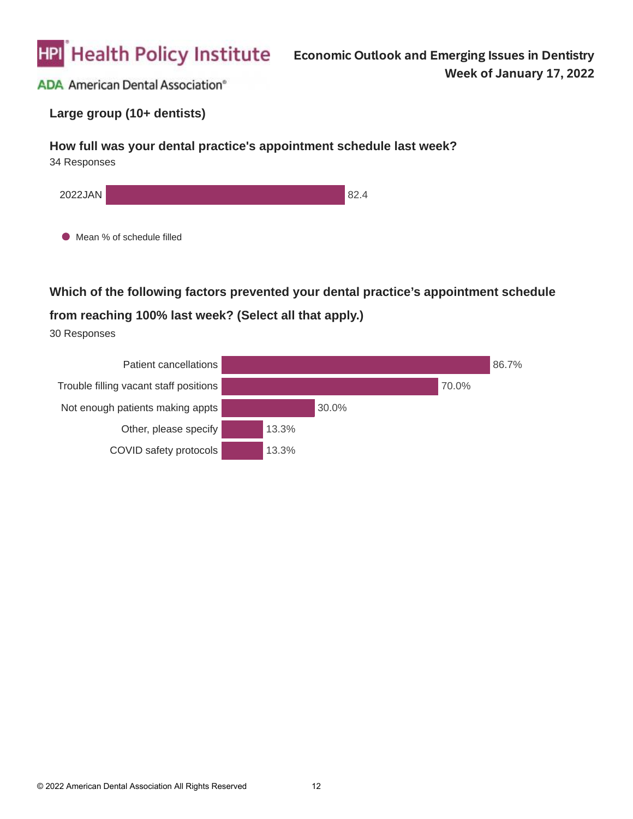

### **Large group (10+ dentists)**

#### **How full was your dental practice's appointment schedule last week?**

34 Responses



 $\bullet$  Mean % of schedule filled

**Which of the following factors prevented your dental practice's appointment schedule** 

### **from reaching 100% last week? (Select all that apply.)**

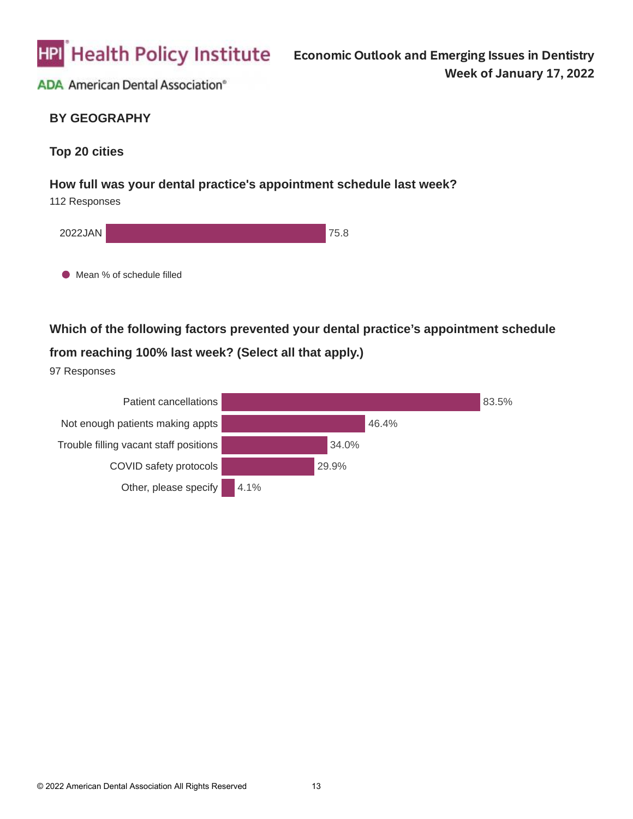

## **BY GEOGRAPHY**

### **Top 20 cities**

#### **How full was your dental practice's appointment schedule last week?**

112 Responses



**Which of the following factors prevented your dental practice's appointment schedule** 

# **from reaching 100% last week? (Select all that apply.)**

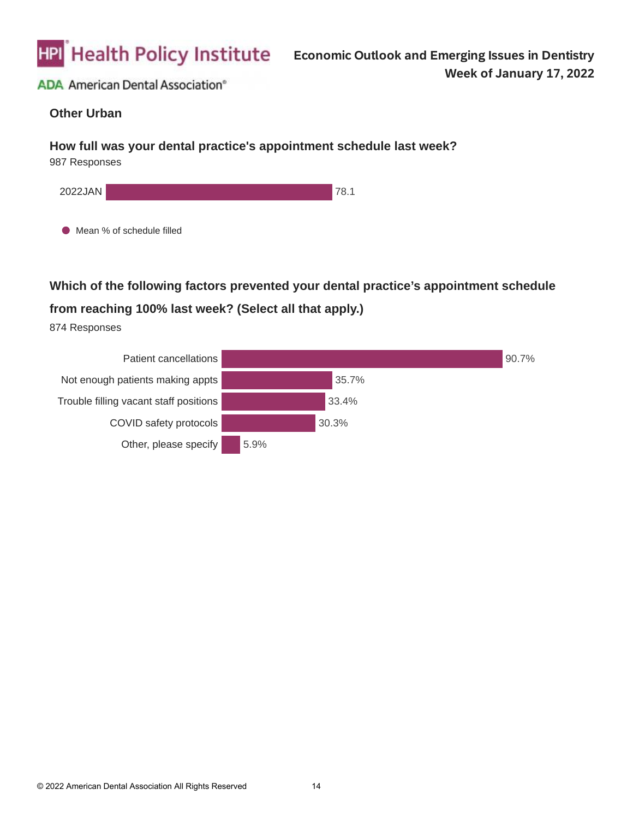

#### **Other Urban**

#### **How full was your dental practice's appointment schedule last week?**

987 Responses



 $\bullet$  Mean % of schedule filled

**Which of the following factors prevented your dental practice's appointment schedule** 

## **from reaching 100% last week? (Select all that apply.)**

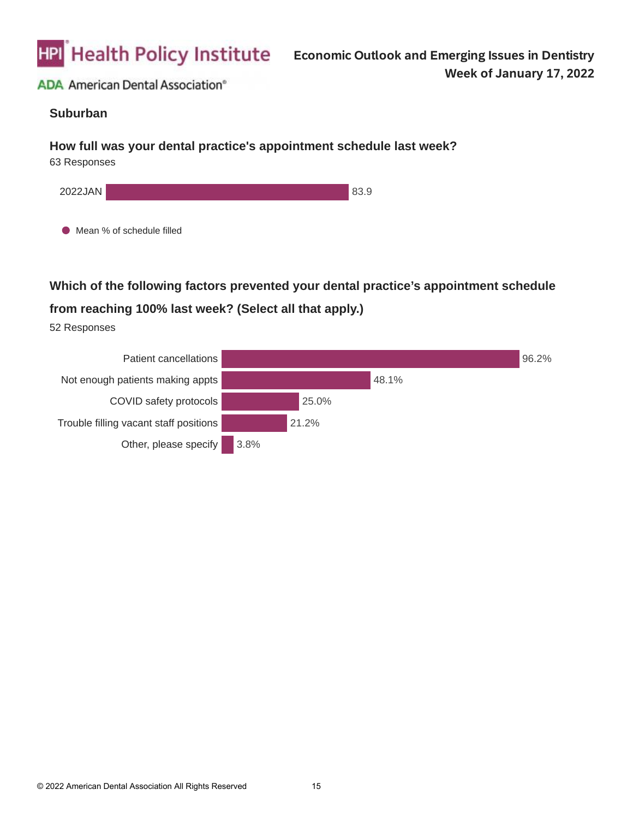

#### **Suburban**

#### **How full was your dental practice's appointment schedule last week?**

63 Responses



 $\bullet$  Mean % of schedule filled

**Which of the following factors prevented your dental practice's appointment schedule** 

## **from reaching 100% last week? (Select all that apply.)**

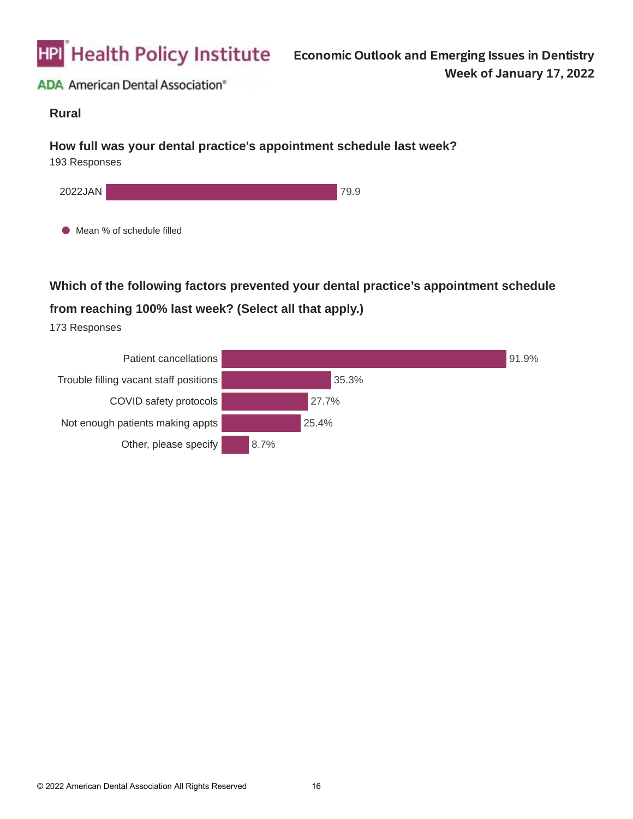

#### **Rural**

#### **How full was your dental practice's appointment schedule last week?**

193 Responses



 $\bullet$  Mean % of schedule filled

**Which of the following factors prevented your dental practice's appointment schedule** 

# **from reaching 100% last week? (Select all that apply.)**

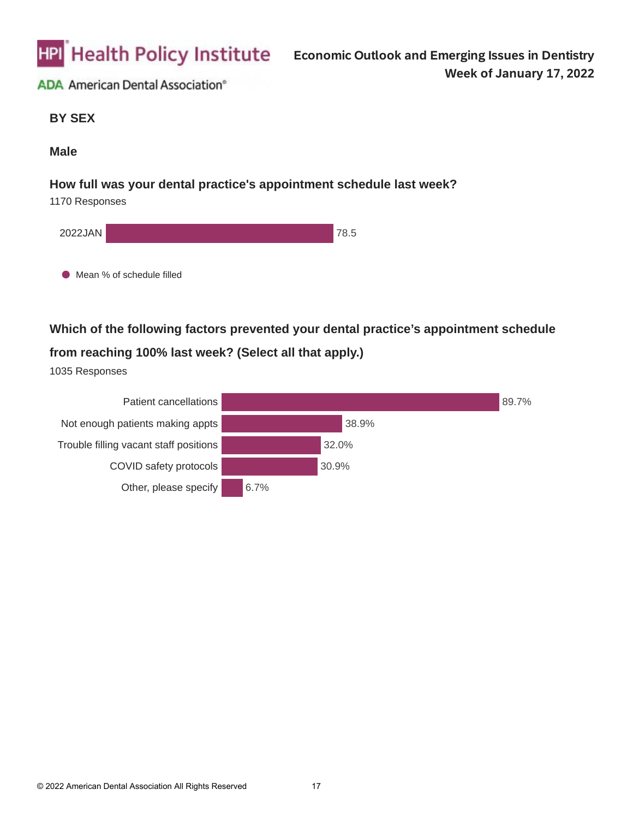

**BY SEX**

#### **Male**

#### **How full was your dental practice's appointment schedule last week?**

1170 Responses

| 2022JAN |                             | 78.5 |
|---------|-----------------------------|------|
|         | ● Mean % of schedule filled |      |

**Which of the following factors prevented your dental practice's appointment schedule from reaching 100% last week? (Select all that apply.)**

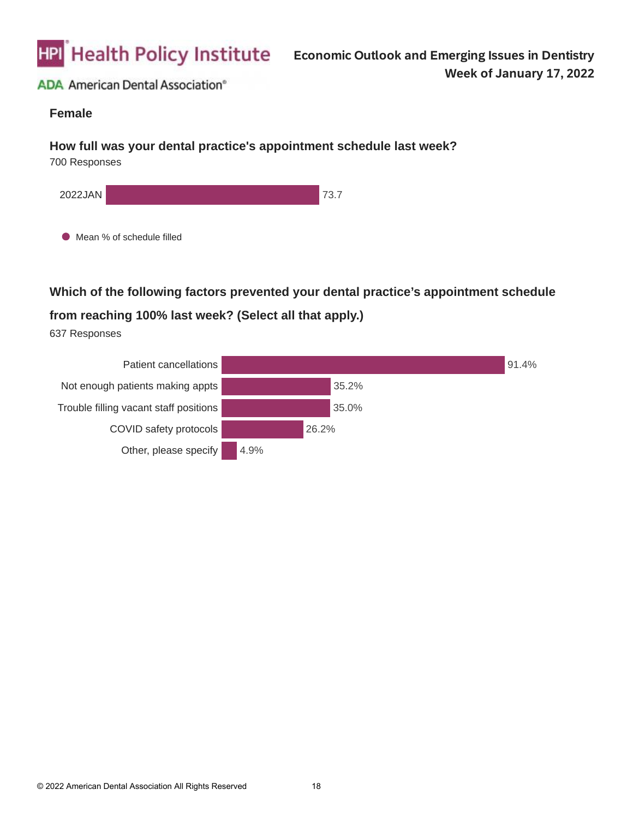

#### **Female**

#### **How full was your dental practice's appointment schedule last week?**

700 Responses



**Which of the following factors prevented your dental practice's appointment schedule** 

# **from reaching 100% last week? (Select all that apply.)**

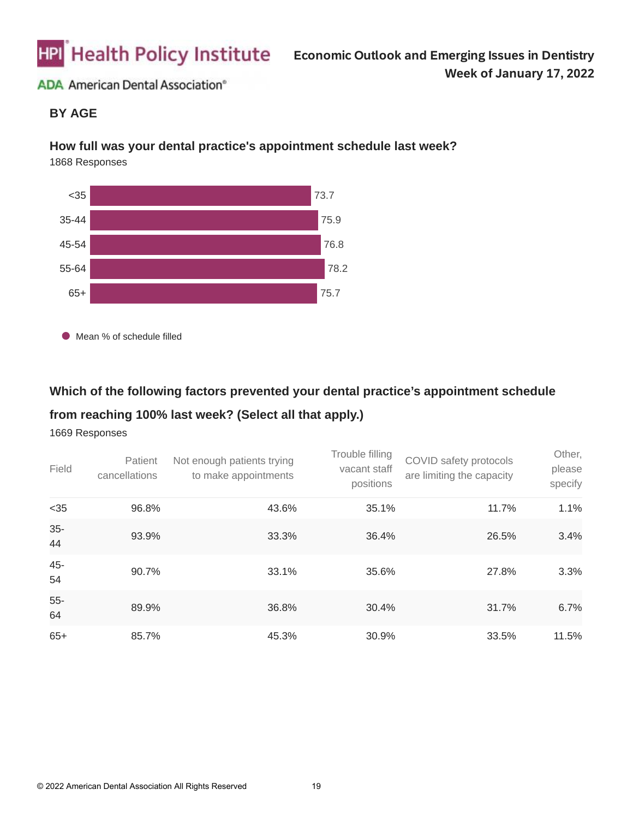

### **BY AGE**

#### **How full was your dental practice's appointment schedule last week?**

1868 Responses



● Mean % of schedule filled

### **Which of the following factors prevented your dental practice's appointment schedule**

#### **from reaching 100% last week? (Select all that apply.)**

| Field        | Patient<br>cancellations | Not enough patients trying<br>to make appointments | Trouble filling<br>vacant staff<br>positions | COVID safety protocols<br>are limiting the capacity | Other,<br>please<br>specify |
|--------------|--------------------------|----------------------------------------------------|----------------------------------------------|-----------------------------------------------------|-----------------------------|
| $35$         | 96.8%                    | 43.6%                                              | 35.1%                                        | 11.7%                                               | 1.1%                        |
| $35-$<br>44  | 93.9%                    | 33.3%                                              | 36.4%                                        | 26.5%                                               | 3.4%                        |
| 45-<br>54    | 90.7%                    | 33.1%                                              | 35.6%                                        | 27.8%                                               | 3.3%                        |
| $55 -$<br>64 | 89.9%                    | 36.8%                                              | 30.4%                                        | 31.7%                                               | 6.7%                        |
| $65+$        | 85.7%                    | 45.3%                                              | 30.9%                                        | 33.5%                                               | 11.5%                       |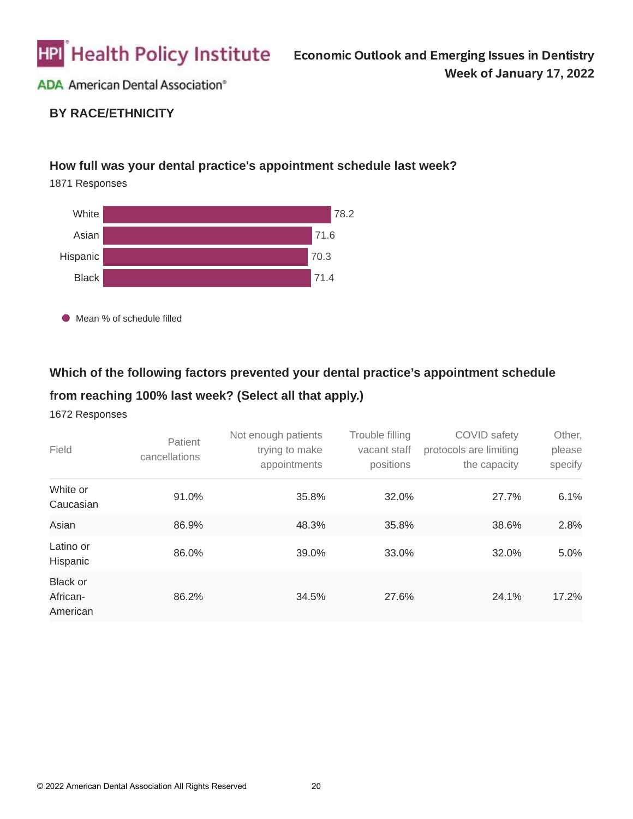

## **BY RACE/ETHNICITY**

### **How full was your dental practice's appointment schedule last week?**

1871 Responses



Mean % of schedule filled

# **Which of the following factors prevented your dental practice's appointment schedule**

# **from reaching 100% last week? (Select all that apply.)**

| Field                                   | Patient<br>cancellations | Not enough patients<br>trying to make<br>appointments | Trouble filling<br>vacant staff<br>positions | COVID safety<br>protocols are limiting<br>the capacity | Other,<br>please<br>specify |
|-----------------------------------------|--------------------------|-------------------------------------------------------|----------------------------------------------|--------------------------------------------------------|-----------------------------|
| White or<br>Caucasian                   | 91.0%                    | 35.8%                                                 | 32.0%                                        | 27.7%                                                  | 6.1%                        |
| Asian                                   | 86.9%                    | 48.3%                                                 | 35.8%                                        | 38.6%                                                  | 2.8%                        |
| Latino or<br>Hispanic                   | 86.0%                    | 39.0%                                                 | 33.0%                                        | 32.0%                                                  | 5.0%                        |
| <b>Black or</b><br>African-<br>American | 86.2%                    | 34.5%                                                 | 27.6%                                        | 24.1%                                                  | 17.2%                       |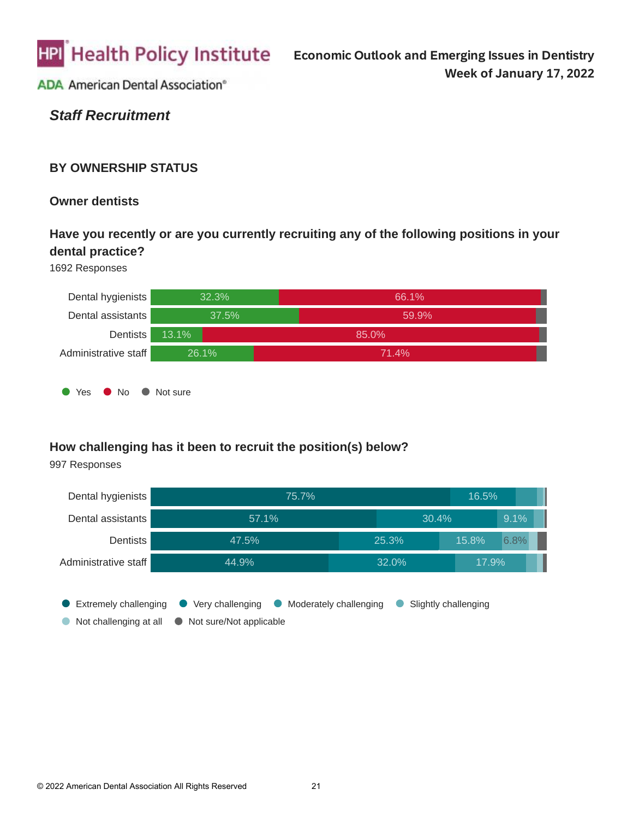

*Staff Recruitment*

### **BY OWNERSHIP STATUS**

**Owner dentists**

# **Have you recently or are you currently recruiting any of the following positions in your dental practice?**

1692 Responses



## **How challenging has it been to recruit the position(s) below?**

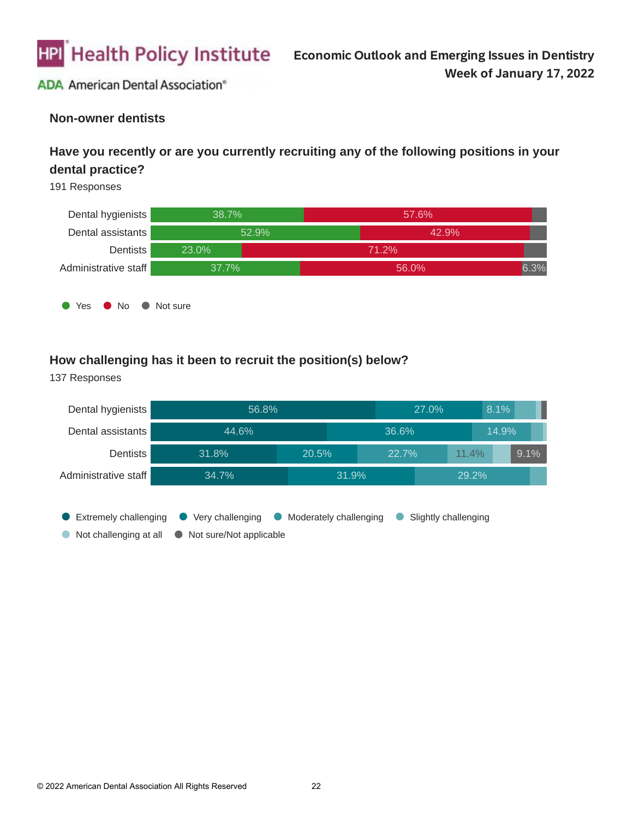

#### **Non-owner dentists**

# **Have you recently or are you currently recruiting any of the following positions in your dental practice?**

191 Responses



#### **How challenging has it been to recruit the position(s) below?**

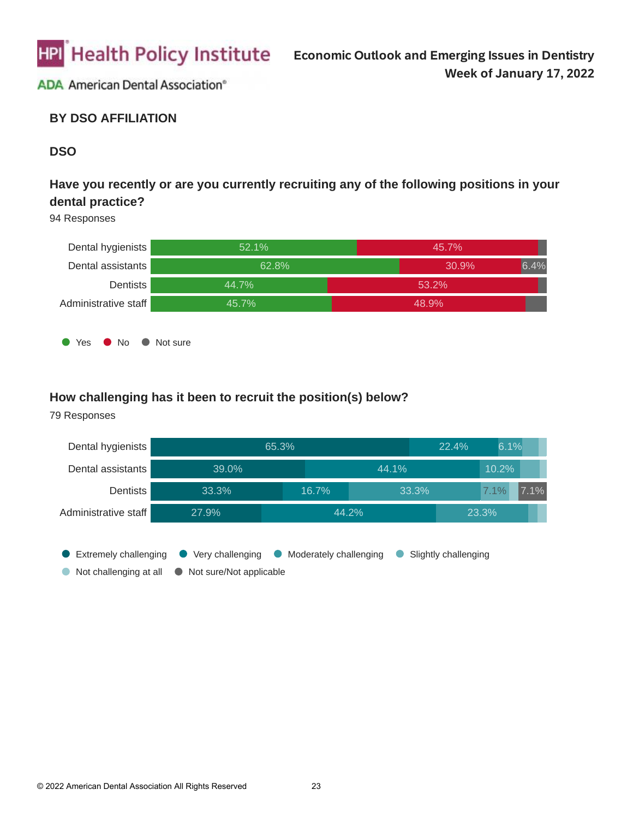

### **BY DSO AFFILIATION**

### **DSO**

# **Have you recently or are you currently recruiting any of the following positions in your dental practice?**

94 Responses



#### **How challenging has it been to recruit the position(s) below?**

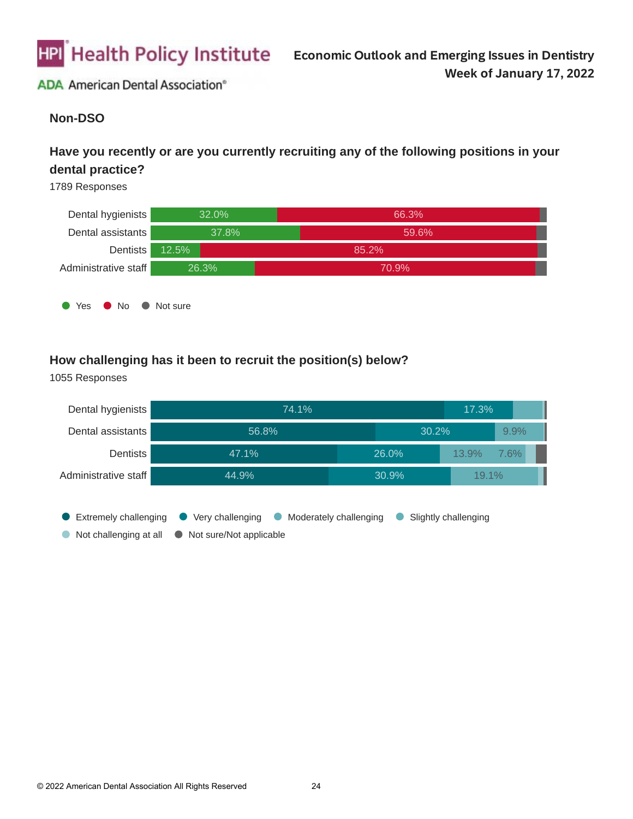

### **Non-DSO**

# **Have you recently or are you currently recruiting any of the following positions in your dental practice?**

1789 Responses



### **How challenging has it been to recruit the position(s) below?**

Dental hygienists 74.1% 17.3% Dental assistants 56.8% 30.2% 9.9% 47.1% 13.9% **Dentists** 26.0% 7.6% Administrative staff 44.9% 30.9% 19.1% **Extremely challenging C** Very challenging C Moderately challenging C Slightly challenging Not challenging at all  $\bullet$  Not sure/Not applicable  $\bullet$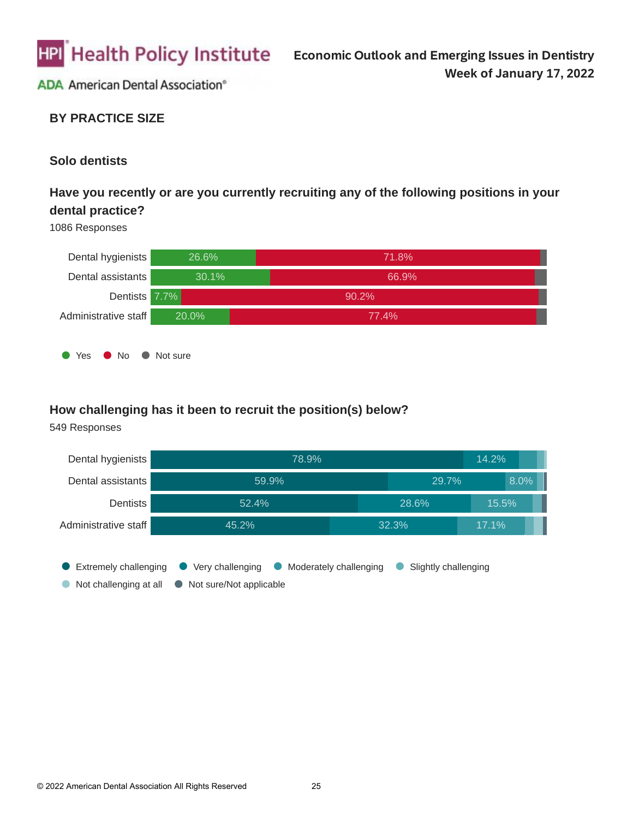

### **BY PRACTICE SIZE**

#### **Solo dentists**

# **Have you recently or are you currently recruiting any of the following positions in your dental practice?**

1086 Responses



#### **How challenging has it been to recruit the position(s) below?**

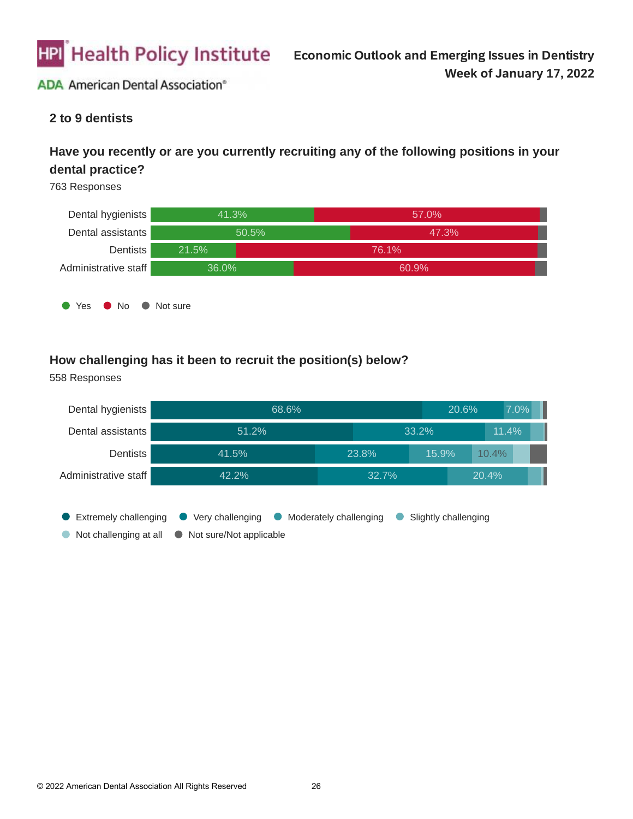

### **2 to 9 dentists**

# **Have you recently or are you currently recruiting any of the following positions in your dental practice?**

763 Responses



### **How challenging has it been to recruit the position(s) below?**

Dental hygienists 68.6% 20.6% 7.0% Dental assistants 51.2% 33.2% 11.4% **Dentists** 41.5% 23.8% 15.9% 10.4% Administrative staff 42.2% 32.7% 20.4% **Extremely challenging C** Very challenging C Moderately challenging C Slightly challenging Not challenging at all  $\bullet$  Not sure/Not applicable  $\bullet$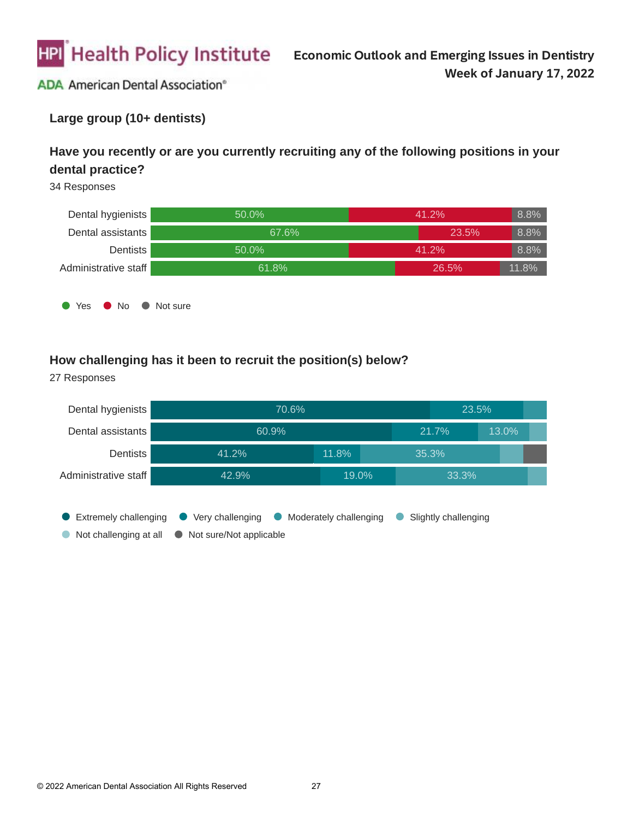

### **Large group (10+ dentists)**

# **Have you recently or are you currently recruiting any of the following positions in your dental practice?**

34 Responses



### **How challenging has it been to recruit the position(s) below?**

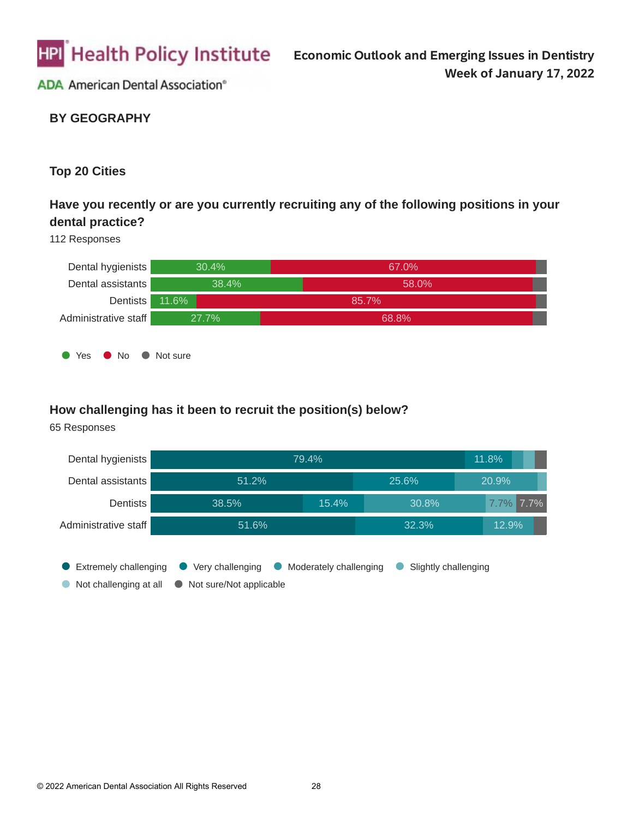

# **BY GEOGRAPHY**

### **Top 20 Cities**

# **Have you recently or are you currently recruiting any of the following positions in your dental practice?**

#### 112 Responses



#### **How challenging has it been to recruit the position(s) below?**

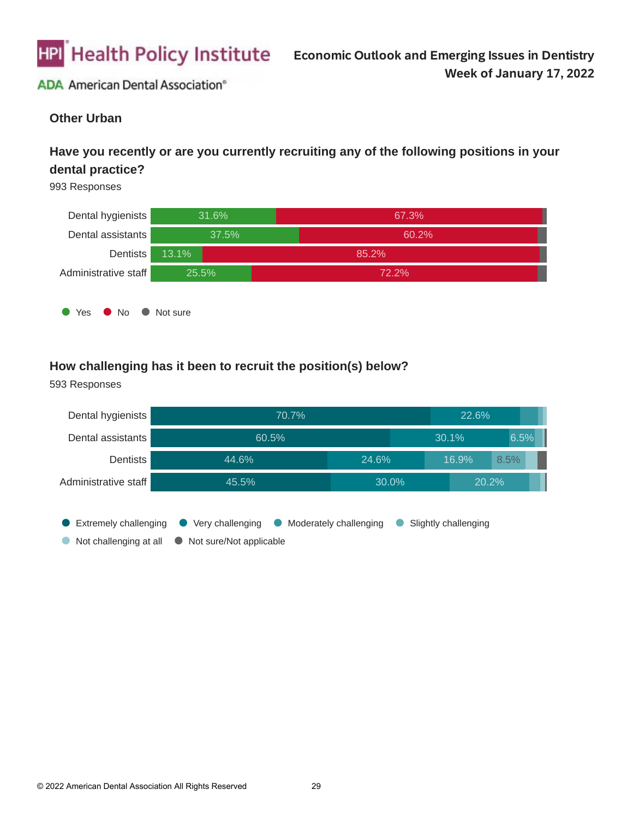

### **Other Urban**

# **Have you recently or are you currently recruiting any of the following positions in your dental practice?**

993 Responses



## **How challenging has it been to recruit the position(s) below?**

**Extremely challenging C** Very challenging C Moderately challenging C Slightly challenging  $\bullet$  Not challenging at all  $\bullet$  Not sure/Not applicable Dental hygienists Dental assistants **Dentists** Administrative staff 70.7% 60.5% 44.6% 45.5% 22.6% 30.1% 24.6% 30.0% 6.5% 16.9% 20.2% 8.5%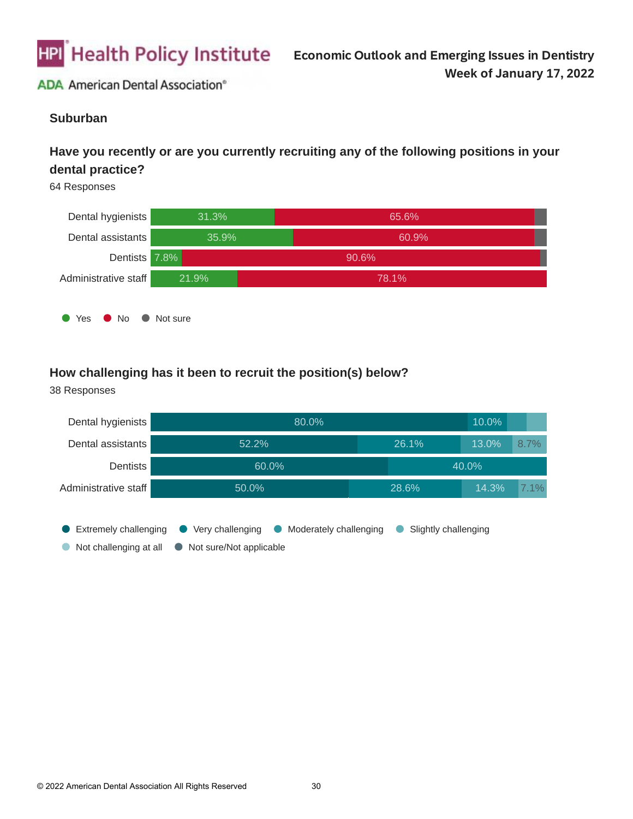

#### **Suburban**

# **Have you recently or are you currently recruiting any of the following positions in your dental practice?**

64 Responses



## **How challenging has it been to recruit the position(s) below?**

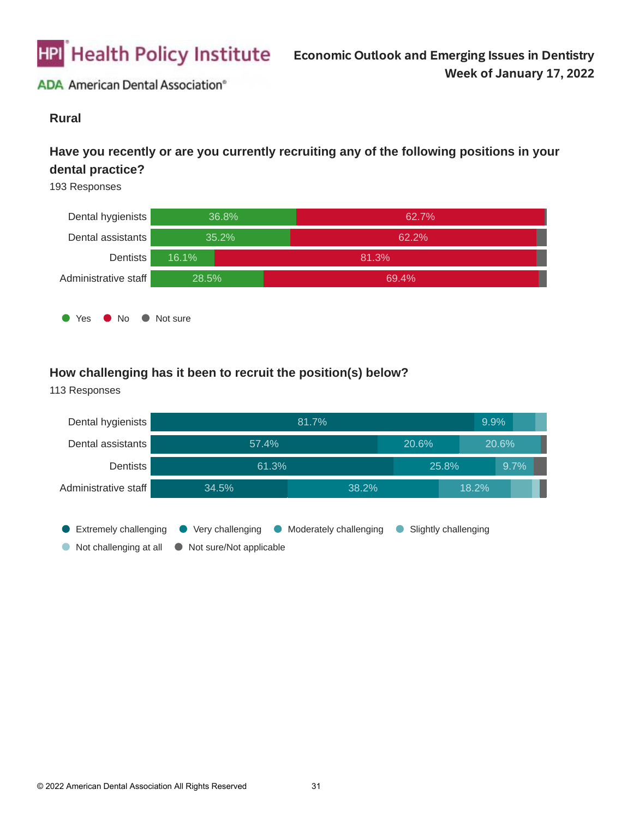

#### **Rural**

# **Have you recently or are you currently recruiting any of the following positions in your dental practice?**

193 Responses



# **How challenging has it been to recruit the position(s) below?**

**Extremely challenging C** Very challenging C Moderately challenging C Slightly challenging  $\bullet$  Not challenging at all  $\bullet$  Not sure/Not applicable Dental hygienists Dental assistants **Dentists** Administrative staff 81.7% 57.4% 61.3% 34.5% 9.9% 20.6% 25.8% 38.2% 20.6% 9.7% 18.2%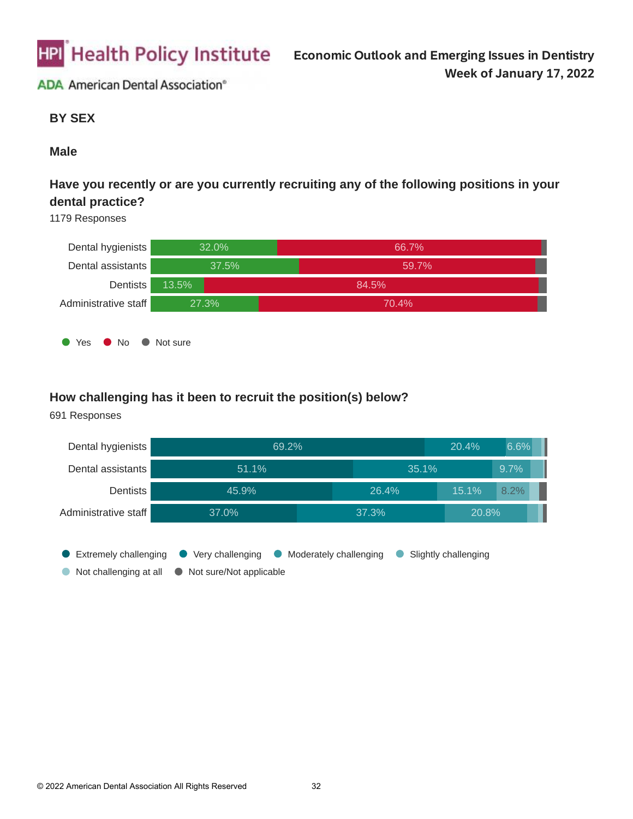

#### **BY SEX**

#### **Male**

# **Have you recently or are you currently recruiting any of the following positions in your dental practice?**

1179 Responses



### **How challenging has it been to recruit the position(s) below?**

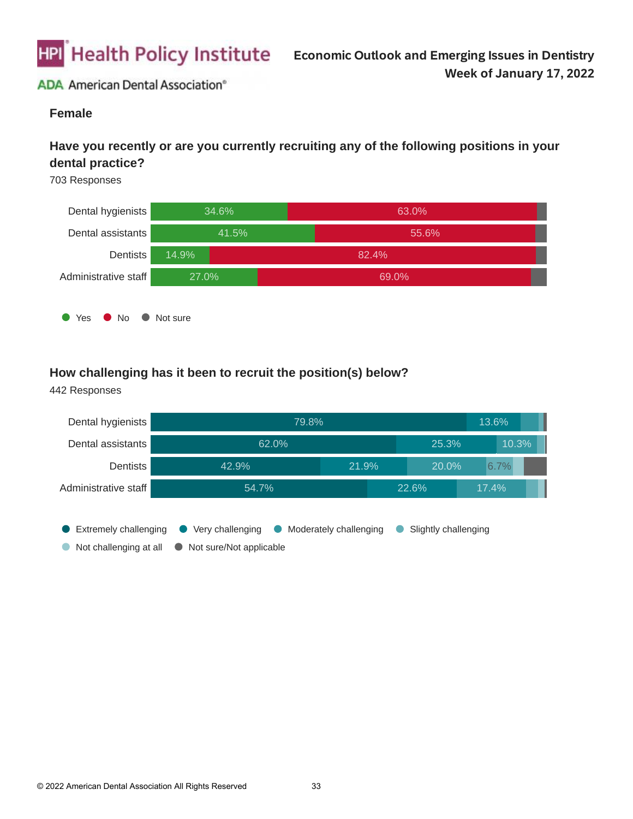

#### **Female**

# **Have you recently or are you currently recruiting any of the following positions in your dental practice?**

703 Responses



## **How challenging has it been to recruit the position(s) below?**

**Extremely challenging C** Very challenging C Moderately challenging C Slightly challenging  $\bullet$  Not challenging at all  $\bullet$  Not sure/Not applicable Dental hygienists Dental assistants **Dentists** Administrative staff 79.8% 62.0% 42.9% 54.7% 13.6% 25.3% 21.9% 22.6% 10.3% 20.0% 17.4% 6.7%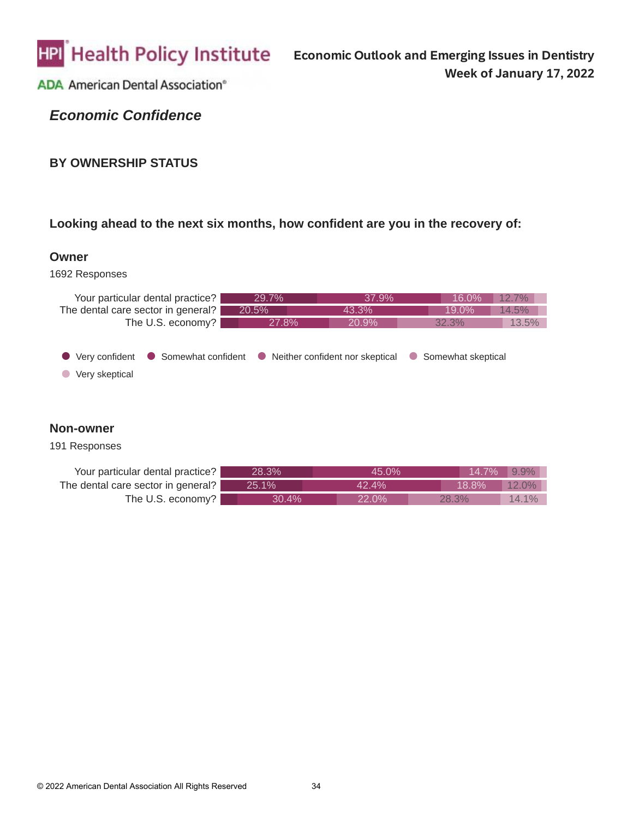

*Economic Confidence*

#### **BY OWNERSHIP STATUS**

# **Looking ahead to the next six months, how confident are you in the recovery of:**

#### **Owner**

#### 1692 Responses

| Your particular dental practice?           | 29.7%                                                  | 37.9% | 16.0%                           | 12.7% |
|--------------------------------------------|--------------------------------------------------------|-------|---------------------------------|-------|
| The dental care sector in general?         | 20.5%                                                  | 43.3% | 19.0%                           | 14.5% |
| The U.S. economy?                          | 27.8%                                                  | 20.9% | 32.3%                           | 13.5% |
| $\bullet$ Very confident<br>Very skeptical | • Somewhat confident • Neither confident nor skeptical |       | Somewhat skeptical<br>$\bullet$ |       |

#### **Non-owner**

| Your particular dental practice?   | 28.3%    | 45.0% | 14.7%    | $9.9\%$ |
|------------------------------------|----------|-------|----------|---------|
| The dental care sector in general? | $25.1\%$ | 42.4% | $18.8\%$ | 12.0%   |
| The U.S. economy?                  | 30.4%    | 22.0% | 28.3%    | 14.1%   |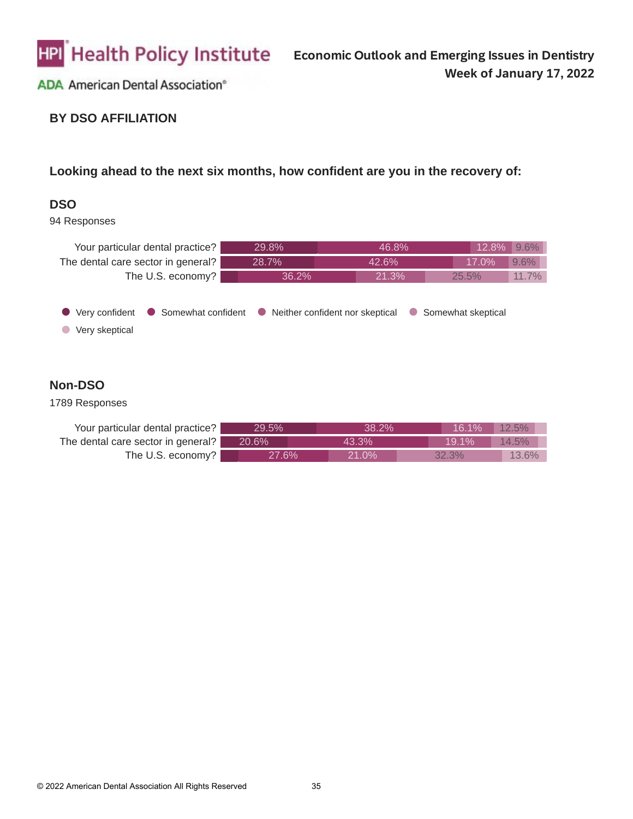

# **BY DSO AFFILIATION**

## **Looking ahead to the next six months, how confident are you in the recovery of:**

#### **DSO**

94 Responses

| Your particular dental practice?   | 29.8%                                                  | 46.8%     | 12.8%              | $9.6\%$ |
|------------------------------------|--------------------------------------------------------|-----------|--------------------|---------|
| The dental care sector in general? | 28.7%                                                  | 42.6%     | 17.0%              | 9.6%    |
| The U.S. economy?                  | 36.2%                                                  | 21.3%     | 25.5%              | 11.7%   |
| Very confident<br>Very skeptical   | • Somewhat confident • Neither confident nor skeptical | $\bullet$ | Somewhat skeptical |         |

### **Non-DSO**

| Your particular dental practice?   | 29.5%    | 38 2%    | 16.1%    | $12.5\%$ |
|------------------------------------|----------|----------|----------|----------|
| The dental care sector in general? | $20.6\%$ | $43.3\%$ | 19 1%    | 14.5%    |
| The U.S. economy?                  | 27.6%`   | 21.0%    | $32.3\%$ | $13.6\%$ |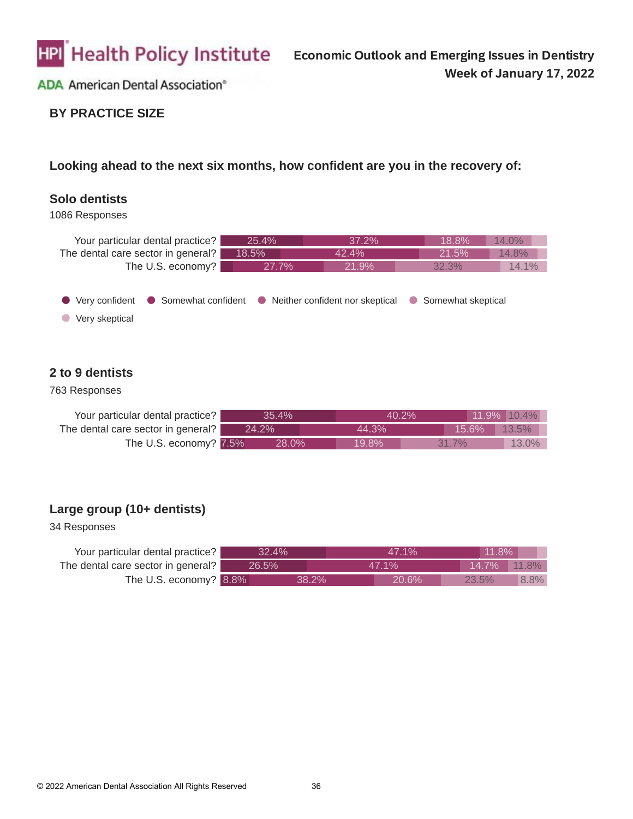

### **BY PRACTICE SIZE**

#### **Looking ahead to the next six months, how confident are you in the recovery of:**

#### **Solo dentists**

1086 Responses



#### **2 to 9 dentists**

#### 763 Responses

| Your particular dental practice?   | 35.4% |          | $40.2\%$ | $11.9\%$ 10.4% |
|------------------------------------|-------|----------|----------|----------------|
| The dental care sector in general? | 24.2% | 44.3%    | 15.6%    | 13.5%          |
| The U.S. economy? 7.5%             | 28.0% | $19.8\%$ | $31.7\%$ | $13.0\%$       |

#### **Large group (10+ dentists)**

| Your particular dental practice?                  | 32.4% | 47.1%  |          | $11.8\%$ |                     |
|---------------------------------------------------|-------|--------|----------|----------|---------------------|
| The dental care sector in general? $\blacksquare$ | 26.5% | 47.1%  |          | 14.7%    | $\mid$ 11.8% $\mid$ |
| The U.S. economy? 8.8%                            |       | 38.2%' | $20.6\%$ | 23.5%    | 8.8%                |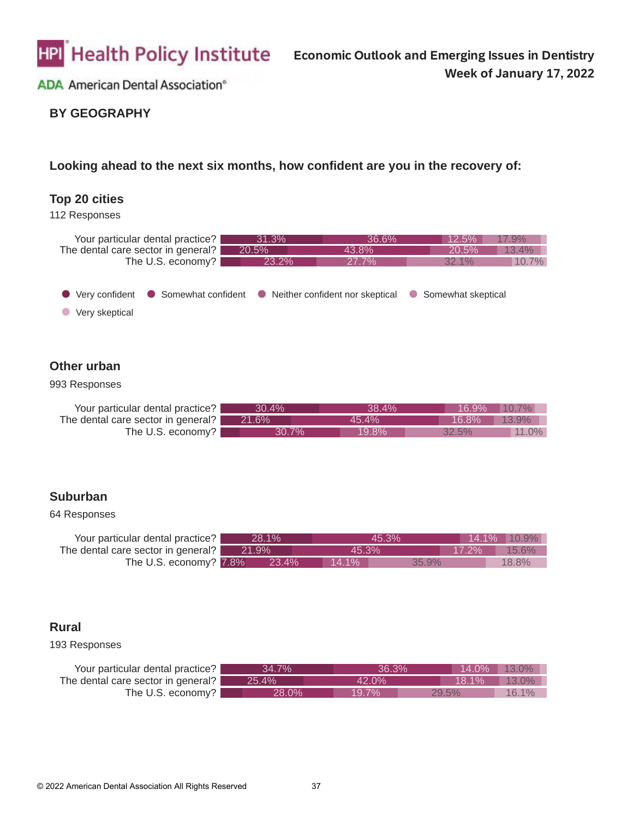

### **BY GEOGRAPHY**

#### **Looking ahead to the next six months, how confident are you in the recovery of:**

#### **Top 20 cities**



| Your particular dental practice?<br>The dental care sector in general? | 31.3%<br>20.5%                                         | 36.6%<br>43.8% | 12.5%<br>20.5%     | 17.9%<br>13.4% |
|------------------------------------------------------------------------|--------------------------------------------------------|----------------|--------------------|----------------|
| The U.S. economy?                                                      | 23.2%                                                  | 27.7%          | $32.1\%$           | 10.7%          |
| ● Very confident<br>Very skeptical                                     | • Somewhat confident • Neither confident nor skeptical |                | Somewhat skeptical |                |

### **Other urban**

#### 993 Responses

| Your particular dental practice?   | 30.4%    | 38.4% | 16.9% | $10.7\%$ |
|------------------------------------|----------|-------|-------|----------|
| The dental care sector in general? | 21.6%    | 45.4% | 16.8% | $13.9\%$ |
| The U.S. economy?                  | $30.7\%$ | 19.8% | 32.5% | 11.0%    |

#### **Suburban**

#### 64 Responses

| Your particular dental practice?         | 28.1%   | 45.3%             |          | $14.1\%$ 10.9% |
|------------------------------------------|---------|-------------------|----------|----------------|
| The dental care sector in general? 21.9% |         | 45.3%             | $17.2\%$ | 15.6%          |
| The U.S. economy? 7.8%                   | - 23.4% | $14.1\%$<br>35.9% |          | 18.8%          |

#### **Rural**

| Your particular dental practice?   | 34.7% | 36.3%    | $14.0\%$ 13.0% |       |
|------------------------------------|-------|----------|----------------|-------|
| The dental care sector in general? | 25.4% | $42.0\%$ | 18.1%          | 13.0% |
| The U.S. economy?                  | 28.0% | 19.7%    | $29.5\%$       | 16.1% |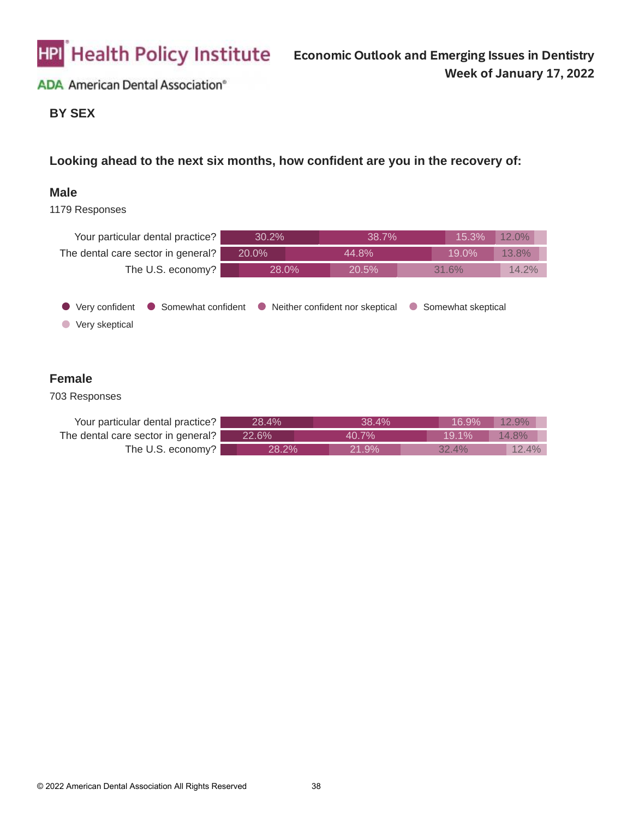

#### **BY SEX**

**Looking ahead to the next six months, how confident are you in the recovery of:**

#### **Male**

1179 Responses

| Your particular dental practice?                       | 30.2% | 38.7%                             |                | 15.3%              | 12.0% |
|--------------------------------------------------------|-------|-----------------------------------|----------------|--------------------|-------|
| The dental care sector in general?                     | 20.0% | 44.8%                             |                | 19.0%              | 13.8% |
| The U.S. economy?                                      | 28.0% | 20.5%                             |                | 31.6%              | 14.2% |
| Somewhat confident<br>Very confident<br>Very skeptical |       | • Neither confident nor skeptical | $\blacksquare$ | Somewhat skeptical |       |

### **Female**

| Your particular dental practice?   | 28.4% | 38.4%    | 16.9%    | $12.9\%$ |
|------------------------------------|-------|----------|----------|----------|
| The dental care sector in general? | 22.6% | 40.7%    | 19.1%    | 14.8%    |
| The U.S. economy?                  | 28.2% | $21.9\%$ | $32.4\%$ | $12.4\%$ |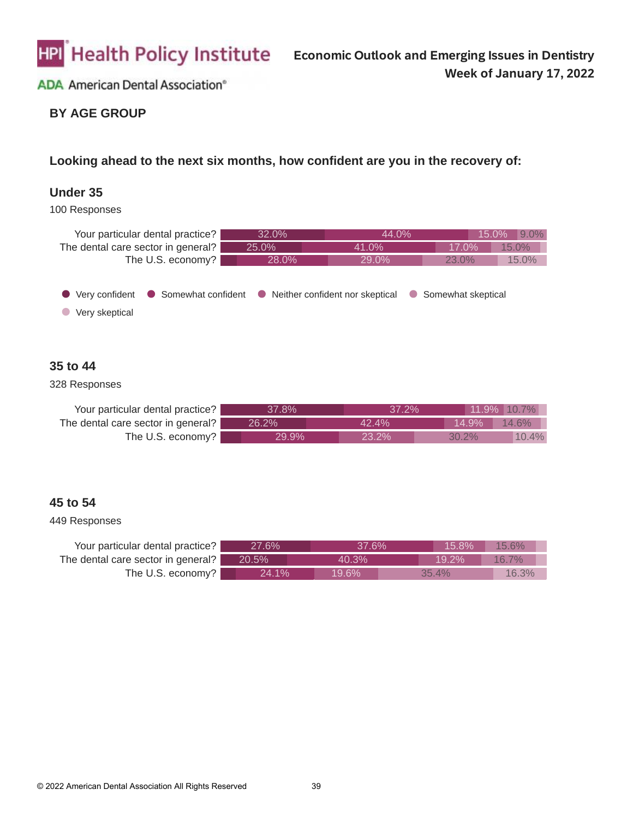

## **BY AGE GROUP**

### **Looking ahead to the next six months, how confident are you in the recovery of:**

#### **Under 35**

100 Responses

| Your particular dental practice?   | 32.0%                                                  | 44.0% | 15.0%              | $9.0\%$ |
|------------------------------------|--------------------------------------------------------|-------|--------------------|---------|
| The dental care sector in general? | 25.0%                                                  | 41.0% | 17.0%              | 15.0%   |
| The U.S. economy?                  | 28.0%                                                  | 29.0% | 23.0%              | 15.0%   |
| Very confident<br>Very skeptical   | • Somewhat confident • Neither confident nor skeptical |       | Somewhat skeptical |         |

#### **35 to 44**

#### 328 Responses

| Your particular dental practice?   | 37.8% | $37.2\%$ |          | $11.9\%$ 10.7% |
|------------------------------------|-------|----------|----------|----------------|
| The dental care sector in general? | 26.2% | $42.4\%$ | 14.9%    | $14.6\%$       |
| The U.S. economy?                  | 29.9% | 23.2%    | $30.2\%$ | 10.4%          |

#### **45 to 54**

| Your particular dental practice?   | 27.6% | 37.6% | 15.8% | 15.6%    |  |
|------------------------------------|-------|-------|-------|----------|--|
| The dental care sector in general? | 20.5% | 40.3% | 19.2% | $16.7\%$ |  |
| The U.S. economy?                  | 24.1% | 19.6% | 35.4% | 16.3%    |  |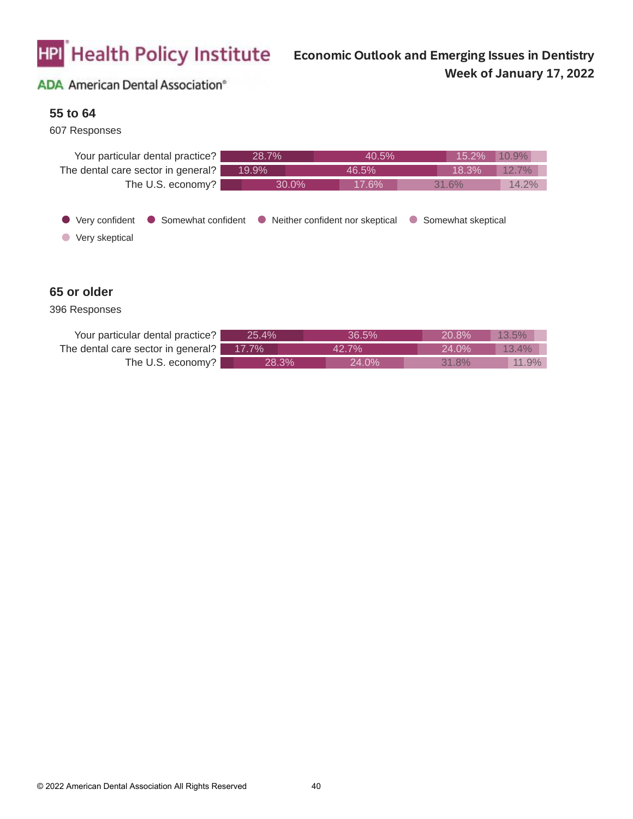

#### **55 to 64**

#### 607 Responses



#### **65 or older**

| Your particular dental practice?   | 25.4% | 36.5%    | $20.8\%$ | 13.5%    |
|------------------------------------|-------|----------|----------|----------|
| The dental care sector in general? | 17.7% | 42.7%    | $24.0\%$ | $13.4\%$ |
| The U.S. economy?                  | 28.3% | $24.0\%$ | 31.8%    | 11.9%    |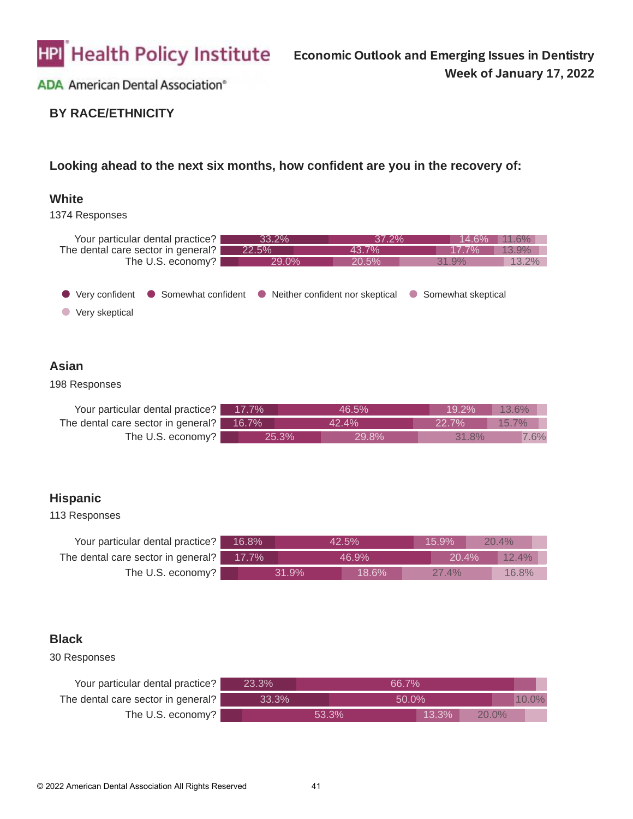

### **BY RACE/ETHNICITY**

#### **Looking ahead to the next six months, how confident are you in the recovery of:**

#### **White**



### **Asian**

#### 198 Responses

| Your particular dental practice? 17.7%   |       | 46.5% | 19.2%    | $13.6\%$ |
|------------------------------------------|-------|-------|----------|----------|
| The dental care sector in general? 16.7% | 42.4% |       | $22.7\%$ | 15.7%    |
| The U.S. economy?                        | 25.3% | 29.8% | 31.8%    | 7.6%     |

#### **Hispanic**

#### 113 Responses

| Your particular dental practice?   | 16.8%    |       | 42.5%    | 15.9% | 20.4% |  |
|------------------------------------|----------|-------|----------|-------|-------|--|
| The dental care sector in general? | $17.7\%$ |       | 46.9%    | 20.4% | 12.4% |  |
| The U.S. economy?                  |          | 31.9% | $18.6\%$ | 27.4% | 16.8% |  |

#### **Black**

| Your particular dental practice?   | $23.3\%$ |       | 66.7% |          |          |  |
|------------------------------------|----------|-------|-------|----------|----------|--|
| The dental care sector in general? | 33.3%    |       | 50.0% |          |          |  |
| The U.S. economy?                  |          | 53.3% |       | $13.3\%$ | $20.0\%$ |  |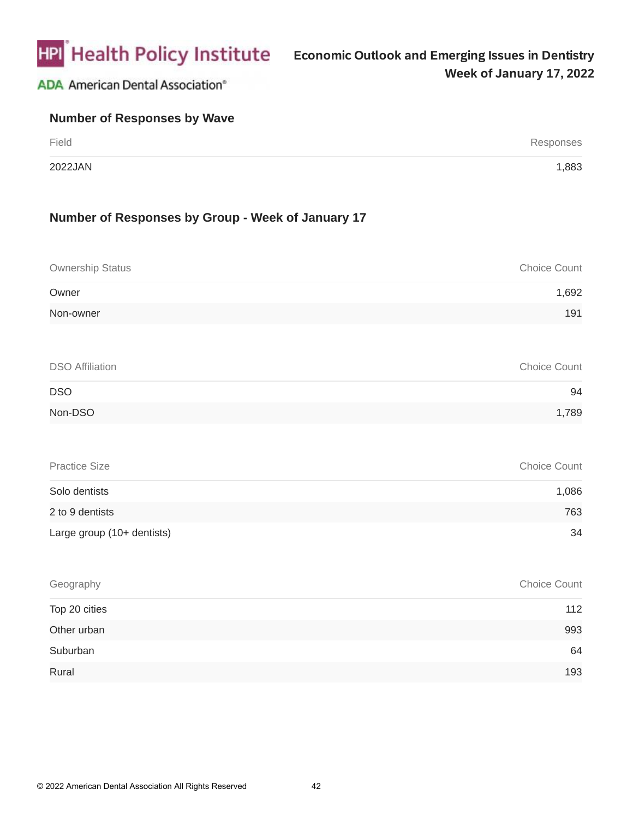

| <b>Number of Responses by Wave</b> |           |
|------------------------------------|-----------|
| Field                              | Responses |
| 2022JAN                            | 1,883     |

### **Number of Responses by Group - Week of January 17**

| <b>Ownership Status</b> | Choice Count |
|-------------------------|--------------|
| Owner                   | 1,692        |
| Non-owner               | 191          |
|                         |              |
| <b>DSO Affiliation</b>  | Choice Count |

| <b>DSO</b> | 94    |
|------------|-------|
| Non-DSO    | 1,789 |

| <b>Practice Size</b>         | <b>Choice Count</b> |
|------------------------------|---------------------|
| Solo dentists                | 1,086               |
| 2 to 9 dentists              | 763                 |
| Large group $(10+$ dentists) | 34                  |

| Geography     | Choice Count |
|---------------|--------------|
| Top 20 cities | 112          |
| Other urban   | 993          |
| Suburban      | 64           |
| Rural         | 193          |